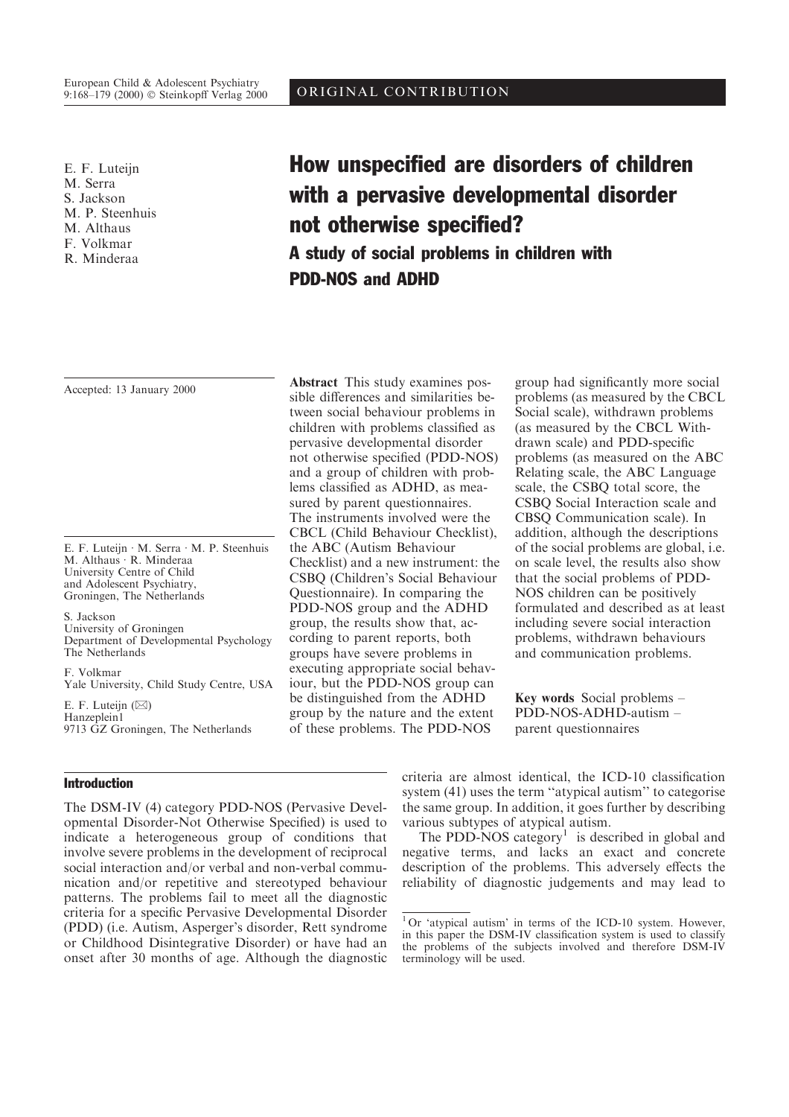E. F. Luteijn M. Serra S. Jackson M. P. Steenhuis M. Althaus F. Volkmar R. Minderaa

# How unspecified are disorders of children with a pervasive developmental disorder not otherwise specified? A study of social problems in children with

PDD-NOS and ADHD

Accepted: 13 January 2000

E. F. Luteijn · M. Serra · M. P. Steenhuis M. Althaus · R. Minderaa University Centre of Child and Adolescent Psychiatry, Groningen, The Netherlands

S. Jackson University of Groningen Department of Developmental Psychology The Netherlands

F. Volkmar Yale University, Child Study Centre, USA

E. F. Luteijn  $(\boxtimes)$ Hanzeplein1 9713 GZ Groningen, The Netherlands

# **Introduction**

The DSM-IV (4) category PDD-NOS (Pervasive Developmental Disorder-Not Otherwise Specified) is used to indicate a heterogeneous group of conditions that involve severe problems in the development of reciprocal social interaction and/or verbal and non-verbal communication and/or repetitive and stereotyped behaviour patterns. The problems fail to meet all the diagnostic criteria for a specific Pervasive Developmental Disorder !PDD) !i.e. Autism, Asperger's disorder, Rett syndrome or Childhood Disintegrative Disorder) or have had an onset after 30 months of age. Although the diagnostic

Abstract This study examines possible differences and similarities between social behaviour problems in children with problems classified as pervasive developmental disorder not otherwise specified (PDD-NOS) and a group of children with problems classified as ADHD, as measured by parent questionnaires. The instruments involved were the CBCL (Child Behaviour Checklist). the ABC (Autism Behaviour Checklist) and a new instrument: the CSBQ (Children's Social Behaviour Questionnaire). In comparing the PDD-NOS group and the ADHD group, the results show that, according to parent reports, both groups have severe problems in executing appropriate social behaviour, but the PDD-NOS group can be distinguished from the ADHD group by the nature and the extent of these problems. The PDD-NOS

group had significantly more social problems (as measured by the CBCL Social scale), withdrawn problems (as measured by the CBCL Withdrawn scale) and PDD-specific problems (as measured on the ABC Relating scale, the ABC Language scale, the CSBQ total score, the CSBQ Social Interaction scale and CBSQ Communication scale). In addition, although the descriptions of the social problems are global, i.e. on scale level, the results also show that the social problems of PDD-NOS children can be positively formulated and described as at least including severe social interaction problems, withdrawn behaviours and communication problems.

Key words Social problems  $-$ PDD-NOS-ADHD-autism parent questionnaires

criteria are almost identical, the ICD-10 classification system (41) uses the term "atypical autism" to categorise the same group. In addition, it goes further by describing various subtypes of atypical autism.

The PDD-NOS category<sup>1</sup> is described in global and negative terms, and lacks an exact and concrete description of the problems. This adversely effects the reliability of diagnostic judgements and may lead to

 $1$ Or 'atypical autism' in terms of the ICD-10 system. However, in this paper the DSM-IV classification system is used to classify the problems of the subjects involved and therefore DSM-IV terminology will be used.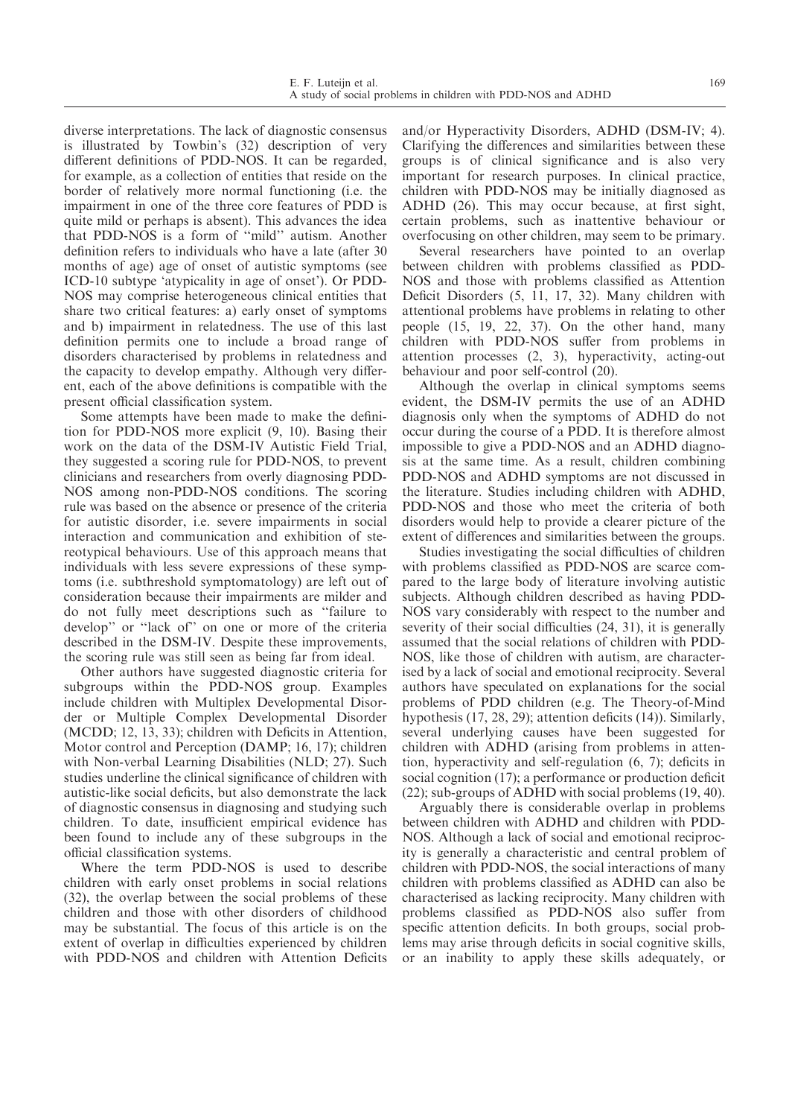diverse interpretations. The lack of diagnostic consensus is illustrated by Towbin's (32) description of very different definitions of PDD-NOS. It can be regarded, for example, as a collection of entities that reside on the border of relatively more normal functioning (i.e. the impairment in one of the three core features of PDD is quite mild or perhaps is absent). This advances the idea that PDD-NOS is a form of "mild" autism. Another definition refers to individuals who have a late (after 30 months of age) age of onset of autistic symptoms (see ICD-10 subtype `atypicality in age of onset'). Or PDD-NOS may comprise heterogeneous clinical entities that share two critical features: a) early onset of symptoms and b) impairment in relatedness. The use of this last definition permits one to include a broad range of disorders characterised by problems in relatedness and the capacity to develop empathy. Although very different, each of the above definitions is compatible with the present official classification system.

Some attempts have been made to make the definition for PDD-NOS more explicit (9, 10). Basing their work on the data of the DSM-IV Autistic Field Trial, they suggested a scoring rule for PDD-NOS, to prevent clinicians and researchers from overly diagnosing PDD-NOS among non-PDD-NOS conditions. The scoring rule was based on the absence or presence of the criteria for autistic disorder, i.e. severe impairments in social interaction and communication and exhibition of stereotypical behaviours. Use of this approach means that individuals with less severe expressions of these symptoms (i.e. subthreshold symptomatology) are left out of consideration because their impairments are milder and do not fully meet descriptions such as ``failure to develop" or "lack of" on one or more of the criteria described in the DSM-IV. Despite these improvements, the scoring rule was still seen as being far from ideal.

Other authors have suggested diagnostic criteria for subgroups within the PDD-NOS group. Examples include children with Multiplex Developmental Disorder or Multiple Complex Developmental Disorder  $(MCDD; 12, 13, 33)$ ; children with Deficits in Attention, Motor control and Perception (DAMP; 16, 17); children with Non-verbal Learning Disabilities (NLD; 27). Such studies underline the clinical significance of children with autistic-like social deficits, but also demonstrate the lack of diagnostic consensus in diagnosing and studying such children. To date, insufficient empirical evidence has been found to include any of these subgroups in the official classification systems.

Where the term PDD-NOS is used to describe children with early onset problems in social relations !32), the overlap between the social problems of these children and those with other disorders of childhood may be substantial. The focus of this article is on the extent of overlap in difficulties experienced by children with PDD-NOS and children with Attention Deficits and/or Hyperactivity Disorders, ADHD  $(DSM-IV; 4)$ . Clarifying the differences and similarities between these groups is of clinical significance and is also very important for research purposes. In clinical practice, children with PDD-NOS may be initially diagnosed as ADHD (26). This may occur because, at first sight, certain problems, such as inattentive behaviour or overfocusing on other children, may seem to be primary.

Several researchers have pointed to an overlap between children with problems classified as PDD-NOS and those with problems classified as Attention Deficit Disorders (5, 11, 17, 32). Many children with attentional problems have problems in relating to other people  $(15, 19, 22, 37)$ . On the other hand, many children with PDD-NOS suffer from problems in attention processes  $(2, 3)$ , hyperactivity, acting-out behaviour and poor self-control (20).

Although the overlap in clinical symptoms seems evident, the DSM-IV permits the use of an ADHD diagnosis only when the symptoms of ADHD do not occur during the course of a PDD. It is therefore almost impossible to give a PDD-NOS and an ADHD diagnosis at the same time. As a result, children combining PDD-NOS and ADHD symptoms are not discussed in the literature. Studies including children with ADHD, PDD-NOS and those who meet the criteria of both disorders would help to provide a clearer picture of the extent of differences and similarities between the groups.

Studies investigating the social difficulties of children with problems classified as PDD-NOS are scarce compared to the large body of literature involving autistic subjects. Although children described as having PDD-NOS vary considerably with respect to the number and severity of their social difficulties  $(24, 31)$ , it is generally assumed that the social relations of children with PDD-NOS, like those of children with autism, are characterised by a lack of social and emotional reciprocity. Several authors have speculated on explanations for the social problems of PDD children (e.g. The Theory-of-Mind hypothesis  $(17, 28, 29)$ ; attention deficits  $(14)$ ). Similarly, several underlying causes have been suggested for children with ADHD (arising from problems in attention, hyperactivity and self-regulation  $(6, 7)$ ; deficits in social cognition  $(17)$ ; a performance or production deficit  $(22)$ ; sub-groups of ADHD with social problems  $(19, 40)$ .

Arguably there is considerable overlap in problems between children with ADHD and children with PDD-NOS. Although a lack of social and emotional reciprocity is generally a characteristic and central problem of children with PDD-NOS, the social interactions of many children with problems classified as ADHD can also be characterised as lacking reciprocity. Many children with problems classified as PDD-NOS also suffer from specific attention deficits. In both groups, social problems may arise through deficits in social cognitive skills, or an inability to apply these skills adequately, or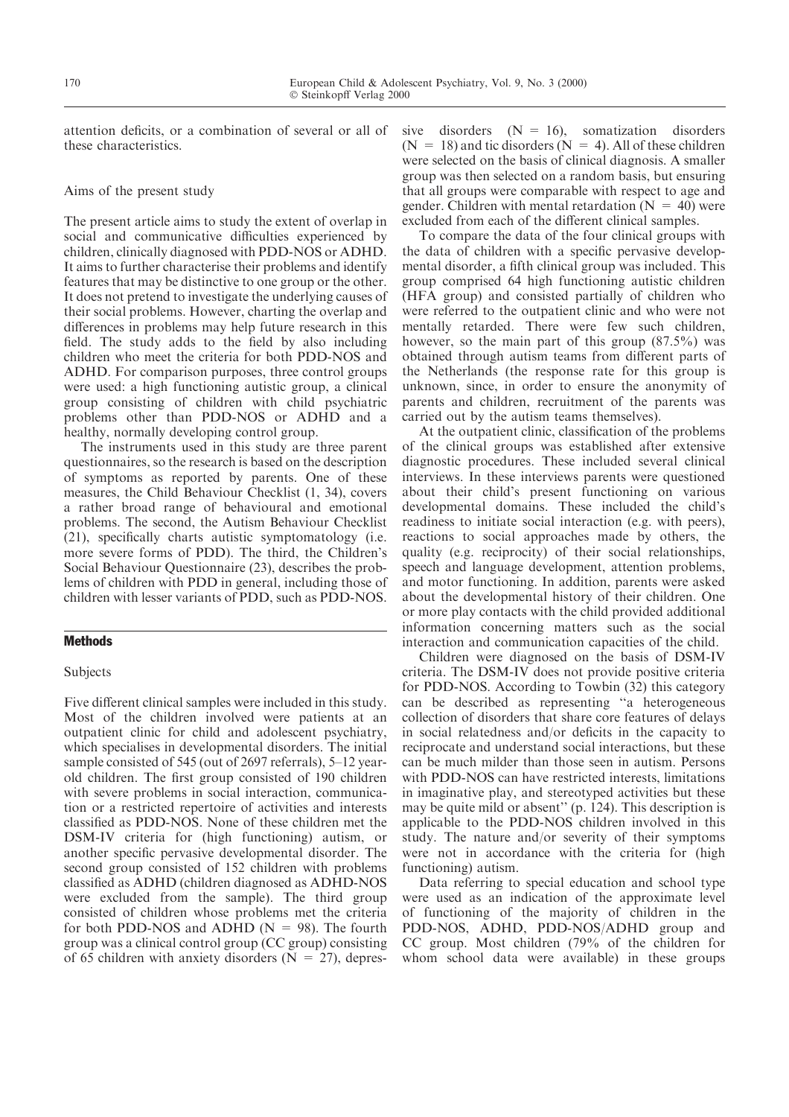attention deficits, or a combination of several or all of these characteristics.

## Aims of the present study

The present article aims to study the extent of overlap in social and communicative difficulties experienced by children, clinically diagnosed with PDD-NOS or ADHD. It aims to further characterise their problems and identify features that may be distinctive to one group or the other. It does not pretend to investigate the underlying causes of their social problems. However, charting the overlap and differences in problems may help future research in this field. The study adds to the field by also including children who meet the criteria for both PDD-NOS and ADHD. For comparison purposes, three control groups were used: a high functioning autistic group, a clinical group consisting of children with child psychiatric problems other than PDD-NOS or ADHD and a healthy, normally developing control group.

The instruments used in this study are three parent questionnaires, so the research is based on the description of symptoms as reported by parents. One of these measures, the Child Behaviour Checklist  $(1, 34)$ , covers a rather broad range of behavioural and emotional problems. The second, the Autism Behaviour Checklist  $(21)$ , specifically charts autistic symptomatology (i.e. more severe forms of PDD). The third, the Children's Social Behaviour Questionnaire (23), describes the problems of children with PDD in general, including those of children with lesser variants of PDD, such as PDD-NOS.

### Methods

## Subjects

Five different clinical samples were included in this study. Most of the children involved were patients at an outpatient clinic for child and adolescent psychiatry, which specialises in developmental disorders. The initial sample consisted of  $545$  (out of  $2697$  referrals),  $5-12$  yearold children. The first group consisted of 190 children with severe problems in social interaction, communication or a restricted repertoire of activities and interests classified as PDD-NOS. None of these children met the DSM-IV criteria for (high functioning) autism, or another specific pervasive developmental disorder. The second group consisted of 152 children with problems classified as ADHD (children diagnosed as ADHD-NOS were excluded from the sample). The third group consisted of children whose problems met the criteria for both PDD-NOS and ADHD  $(N = 98)$ . The fourth group was a clinical control group (CC group) consisting of 65 children with anxiety disorders ( $N = 27$ ), depressive disorders  $(N = 16)$ , somatization disorders  $(N = 18)$  and tic disorders  $(N = 4)$ . All of these children were selected on the basis of clinical diagnosis. A smaller group was then selected on a random basis, but ensuring that all groups were comparable with respect to age and gender. Children with mental retardation  $(N = 40)$  were excluded from each of the different clinical samples.

To compare the data of the four clinical groups with the data of children with a specific pervasive developmental disorder, a fifth clinical group was included. This group comprised 64 high functioning autistic children !HFA group) and consisted partially of children who were referred to the outpatient clinic and who were not mentally retarded. There were few such children, however, so the main part of this group  $(87.5\%)$  was obtained through autism teams from different parts of the Netherlands (the response rate for this group is unknown, since, in order to ensure the anonymity of parents and children, recruitment of the parents was carried out by the autism teams themselves).

At the outpatient clinic, classification of the problems of the clinical groups was established after extensive diagnostic procedures. These included several clinical interviews. In these interviews parents were questioned about their child's present functioning on various developmental domains. These included the child's readiness to initiate social interaction (e.g. with peers), reactions to social approaches made by others, the quality (e.g. reciprocity) of their social relationships, speech and language development, attention problems, and motor functioning. In addition, parents were asked about the developmental history of their children. One or more play contacts with the child provided additional information concerning matters such as the social interaction and communication capacities of the child.

Children were diagnosed on the basis of DSM-IV criteria. The DSM-IV does not provide positive criteria for PDD-NOS. According to Towbin (32) this category can be described as representing "a heterogeneous collection of disorders that share core features of delays in social relatedness and/or deficits in the capacity to reciprocate and understand social interactions, but these can be much milder than those seen in autism. Persons with PDD-NOS can have restricted interests, limitations in imaginative play, and stereotyped activities but these may be quite mild or absent" (p. 124). This description is applicable to the PDD-NOS children involved in this study. The nature and/or severity of their symptoms were not in accordance with the criteria for (high functioning) autism.

Data referring to special education and school type were used as an indication of the approximate level of functioning of the majority of children in the PDD-NOS, ADHD, PDD-NOS/ADHD group and CC group. Most children (79% of the children for whom school data were available) in these groups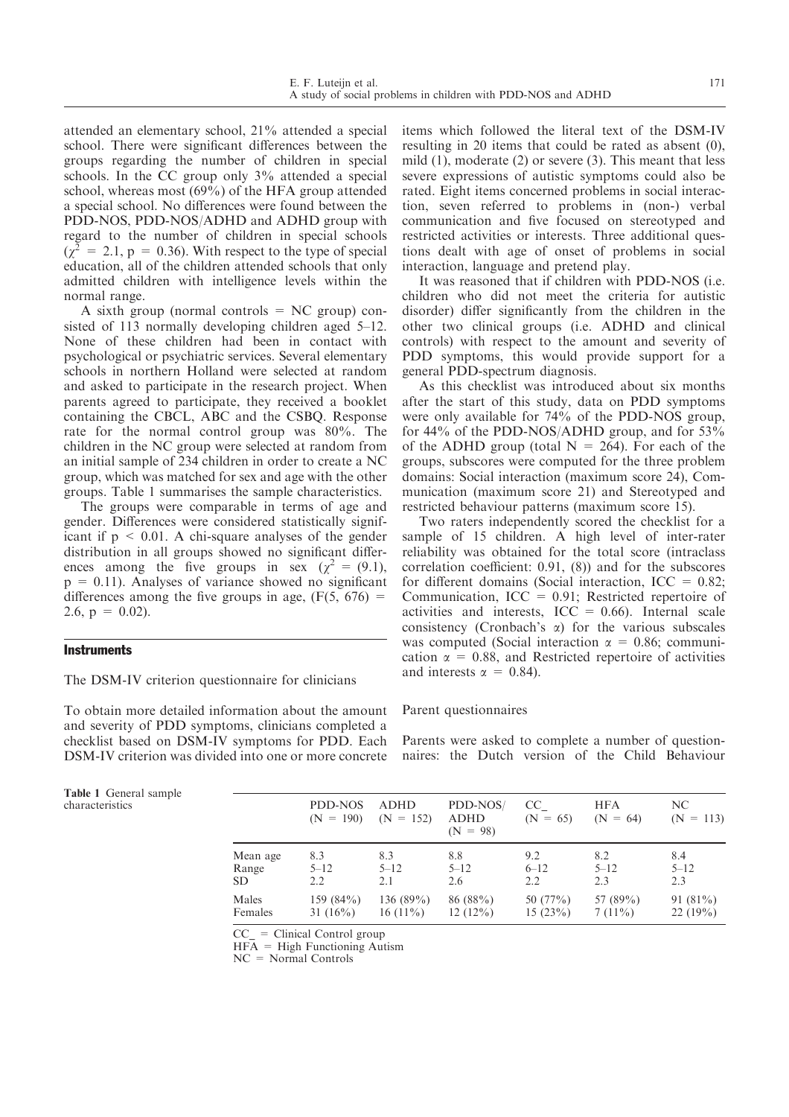attended an elementary school, 21% attended a special school. There were significant differences between the groups regarding the number of children in special schools. In the CC group only 3% attended a special school, whereas most (69%) of the HFA group attended a special school. No differences were found between the PDD-NOS, PDD-NOS/ADHD and ADHD group with regard to the number of children in special schools  $(\chi^2 = 2.1, p = 0.36)$ . With respect to the type of special education, all of the children attended schools that only admitted children with intelligence levels within the normal range.

A sixth group (normal controls  $= NC$  group) consisted of 113 normally developing children aged  $5-12$ . None of these children had been in contact with psychological or psychiatric services. Several elementary schools in northern Holland were selected at random and asked to participate in the research project. When parents agreed to participate, they received a booklet containing the CBCL, ABC and the CSBQ. Response rate for the normal control group was 80%. The children in the NC group were selected at random from an initial sample of 234 children in order to create a NC group, which was matched for sex and age with the other groups. Table 1 summarises the sample characteristics.

The groups were comparable in terms of age and gender. Differences were considered statistically significant if  $p \le 0.01$ . A chi-square analyses of the gender distribution in all groups showed no significant differences among the five groups in sex ( $\chi^2 = (9.1)$ ,  $p = 0.11$ ). Analyses of variance showed no significant differences among the five groups in age,  $(F(5, 676) =$ 2.6,  $p = 0.02$ ).

## **Instruments**

The DSM-IV criterion questionnaire for clinicians

To obtain more detailed information about the amount and severity of PDD symptoms, clinicians completed a checklist based on DSM-IV symptoms for PDD. Each DSM-IV criterion was divided into one or more concrete items which followed the literal text of the DSM-IV resulting in 20 items that could be rated as absent  $(0)$ , mild  $(1)$ , moderate  $(2)$  or severe  $(3)$ . This meant that less severe expressions of autistic symptoms could also be rated. Eight items concerned problems in social interaction, seven referred to problems in (non-) verbal communication and five focused on stereotyped and restricted activities or interests. Three additional questions dealt with age of onset of problems in social interaction, language and pretend play.

It was reasoned that if children with PDD-NOS (i.e. children who did not meet the criteria for autistic disorder) differ significantly from the children in the other two clinical groups (i.e. ADHD and clinical controls) with respect to the amount and severity of PDD symptoms, this would provide support for a general PDD-spectrum diagnosis.

As this checklist was introduced about six months after the start of this study, data on PDD symptoms were only available for 74% of the PDD-NOS group, for 44% of the PDD-NOS/ADHD group, and for 53% of the ADHD group (total  $N = 264$ ). For each of the groups, subscores were computed for the three problem domains: Social interaction (maximum score 24), Communication (maximum score 21) and Stereotyped and restricted behaviour patterns (maximum score 15).

Two raters independently scored the checklist for a sample of 15 children. A high level of inter-rater reliability was obtained for the total score (intraclass correlation coefficient:  $0.91$ ,  $(8)$ ) and for the subscores for different domains (Social interaction, ICC =  $0.82$ ; Communication,  $ICC = 0.91$ ; Restricted repertoire of activities and interests,  $ICC = 0.66$ . Internal scale consistency (Cronbach's  $\alpha$ ) for the various subscales was computed (Social interaction  $\alpha = 0.86$ ; communication  $\alpha = 0.88$ , and Restricted repertoire of activities and interests  $\alpha = 0.84$ .

## Parent questionnaires

Parents were asked to complete a number of questionnaires: the Dutch version of the Child Behaviour

| <b>Table 1 General sample</b> |                |
|-------------------------------|----------------|
| characteristics               | <b>PDD-NOS</b> |

|                         | PDD-NOS<br>$(N = 190)$  | <b>ADHD</b><br>$(N = 152)$  | PDD-NOS/<br>ADHD<br>$(N = 98)$ | CC<br>$(N = 65)$       | <b>HFA</b><br>$(N = 64)$ | NC<br>$(N = 113)$      |
|-------------------------|-------------------------|-----------------------------|--------------------------------|------------------------|--------------------------|------------------------|
| Mean age<br>Range<br>SD | 8.3<br>$5 - 12$<br>2.2  | 8.3<br>$5 - 12$<br>2.1      | 8.8<br>$5 - 12$<br>2.6         | 9.2<br>$6 - 12$<br>2.2 | 8.2<br>$5 - 12$<br>2.3   | 8.4<br>$5 - 12$<br>2.3 |
| Males<br>Females        | 159 $(84\%)$<br>31(16%) | 136 $(89\%)$<br>16 $(11\%)$ | 86(88%)<br>$12(12\%)$          | 50 $(77\%)$<br>15(23%) | 57 (89%)<br>$7(11\%)$    | 91 $(81\%)$<br>22(19%) |
|                         |                         |                             |                                |                        |                          |                        |

 $CC = Clinical Control group$ 

 $HF\bar{A}$  = High Functioning Autism

NC = Normal Controls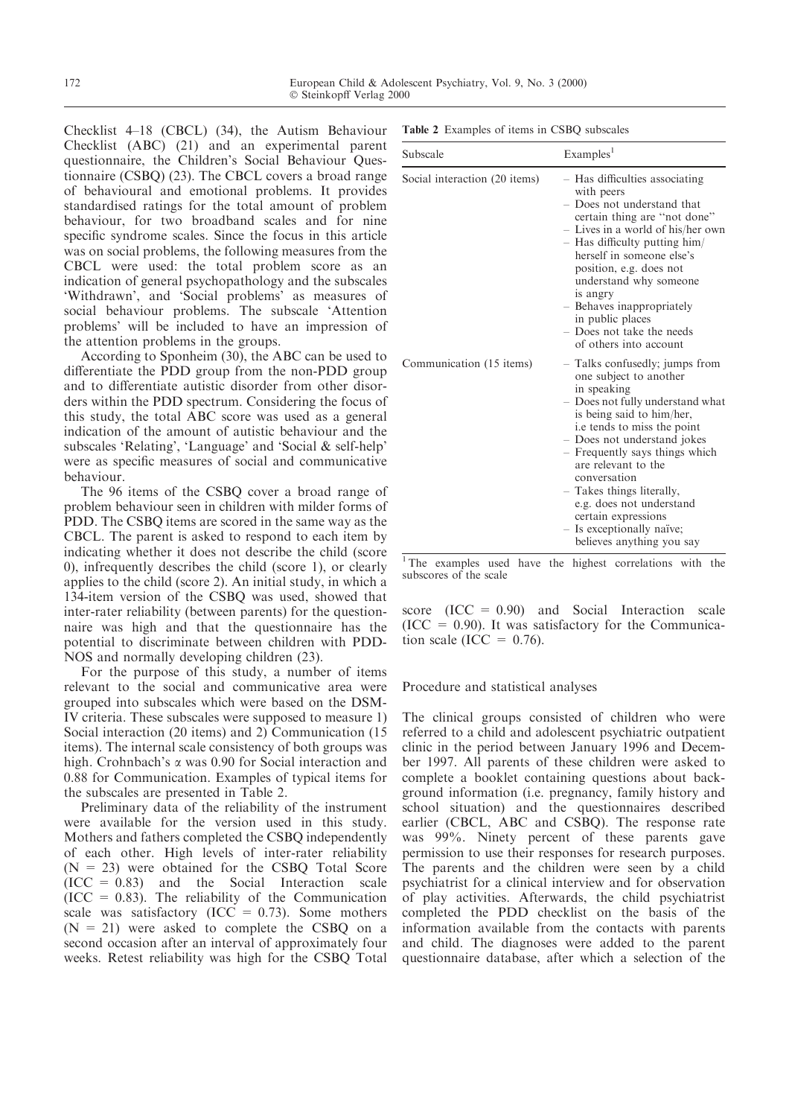Checklist  $4-18$  (CBCL)  $(34)$ , the Autism Behaviour Checklist (ABC) (21) and an experimental parent questionnaire, the Children's Social Behaviour Questionnaire  $(CSBQ)$  (23). The CBCL covers a broad range of behavioural and emotional problems. It provides standardised ratings for the total amount of problem behaviour, for two broadband scales and for nine specific syndrome scales. Since the focus in this article was on social problems, the following measures from the CBCL were used: the total problem score as an indication of general psychopathology and the subscales `Withdrawn', and `Social problems' as measures of social behaviour problems. The subscale `Attention problems' will be included to have an impression of the attention problems in the groups.

According to Sponheim (30), the ABC can be used to differentiate the PDD group from the non-PDD group and to differentiate autistic disorder from other disorders within the PDD spectrum. Considering the focus of this study, the total ABC score was used as a general indication of the amount of autistic behaviour and the subscales 'Relating', 'Language' and 'Social & self-help' were as specific measures of social and communicative behaviour.

The 96 items of the CSBQ cover a broad range of problem behaviour seen in children with milder forms of PDD. The CSBQ items are scored in the same way as the CBCL. The parent is asked to respond to each item by indicating whether it does not describe the child (score 0), infrequently describes the child (score 1), or clearly applies to the child (score 2). An initial study, in which a 134-item version of the CSBQ was used, showed that inter-rater reliability (between parents) for the questionnaire was high and that the questionnaire has the potential to discriminate between children with PDD-NOS and normally developing children (23).

For the purpose of this study, a number of items relevant to the social and communicative area were grouped into subscales which were based on the DSM-IV criteria. These subscales were supposed to measure 1) Social interaction (20 items) and 2) Communication (15 items). The internal scale consistency of both groups was high. Crohnbach's  $\alpha$  was 0.90 for Social interaction and 0.88 for Communication. Examples of typical items for the subscales are presented in Table 2.

Preliminary data of the reliability of the instrument were available for the version used in this study. Mothers and fathers completed the CSBQ independently of each other. High levels of inter-rater reliability  $(N = 23)$  were obtained for the CSBO Total Score  $(ICC = 0.83)$  and the Social Interaction scale  $(ICC = 0.83)$ . The reliability of the Communication scale was satisfactory  $(ICC = 0.73)$ . Some mothers  $(N = 21)$  were asked to complete the CSBQ on a second occasion after an interval of approximately four weeks. Retest reliability was high for the CSBQ Total

Table 2 Examples of items in CSBQ subscales

| Subscale                      | Examples <sup>1</sup>                                                                                                                                                                                                                                                                                                                                                                                                     |  |  |  |  |  |
|-------------------------------|---------------------------------------------------------------------------------------------------------------------------------------------------------------------------------------------------------------------------------------------------------------------------------------------------------------------------------------------------------------------------------------------------------------------------|--|--|--|--|--|
| Social interaction (20 items) | - Has difficulties associating<br>with peers<br>- Does not understand that<br>certain thing are "not done"<br>- Lives in a world of his/her own<br>- Has difficulty putting him/<br>herself in someone else's<br>position, e.g. does not<br>understand why someone<br>is angry<br>- Behaves inappropriately<br>in public places<br>$-$ Does not take the needs<br>of others into account                                  |  |  |  |  |  |
| Communication (15 items)      | - Talks confusedly; jumps from<br>one subject to another<br>in speaking<br>- Does not fully understand what<br>is being said to him/her,<br>i.e tends to miss the point<br>- Does not understand jokes<br>- Frequently says things which<br>are relevant to the<br>conversation<br>- Takes things literally,<br>e.g. does not understand<br>certain expressions<br>- Is exceptionally naïve;<br>believes anything you say |  |  |  |  |  |

<sup>1</sup>The examples used have the highest correlations with the subscores of the scale

score  $(ICC = 0.90)$  and Social Interaction scale  $(ICC = 0.90)$ . It was satisfactory for the Communication scale  $(ICC = 0.76)$ .

#### Procedure and statistical analyses

The clinical groups consisted of children who were referred to a child and adolescent psychiatric outpatient clinic in the period between January 1996 and December 1997. All parents of these children were asked to complete a booklet containing questions about background information *(i.e. pregnancy, family history and* school situation) and the questionnaires described earlier (CBCL, ABC and CSBO). The response rate was 99%. Ninety percent of these parents gave permission to use their responses for research purposes. The parents and the children were seen by a child psychiatrist for a clinical interview and for observation of play activities. Afterwards, the child psychiatrist completed the PDD checklist on the basis of the information available from the contacts with parents and child. The diagnoses were added to the parent questionnaire database, after which a selection of the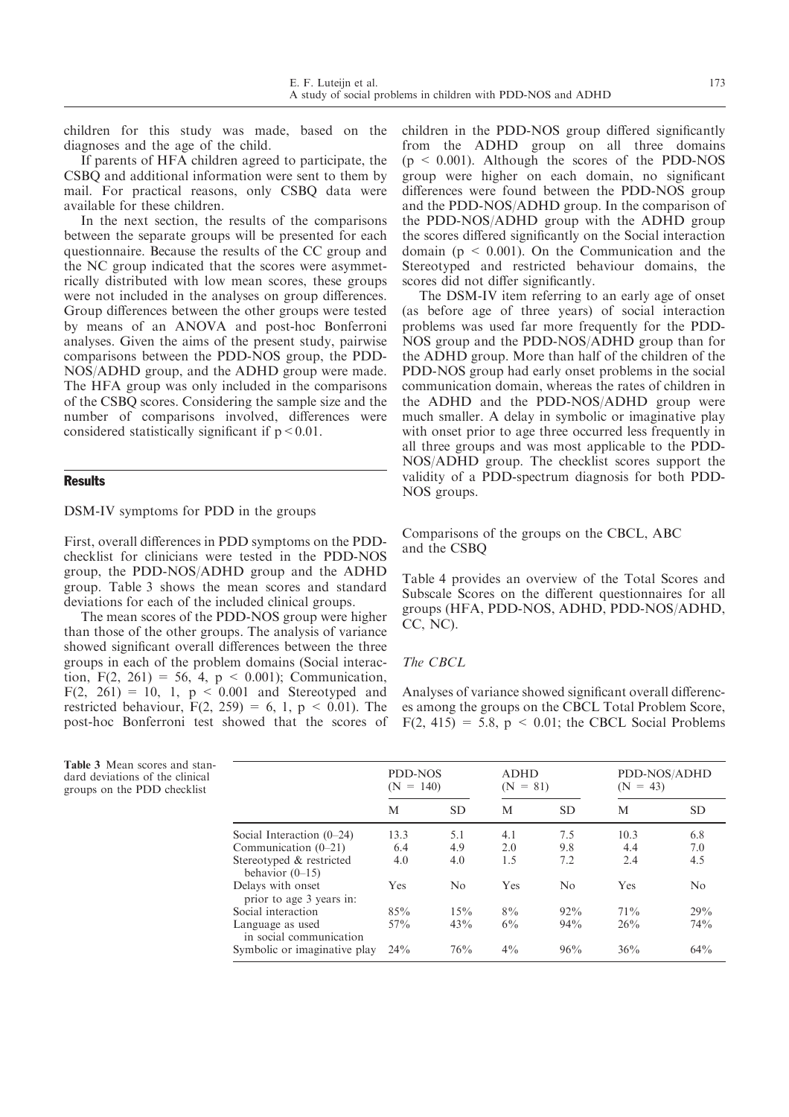children for this study was made, based on the diagnoses and the age of the child.

If parents of HFA children agreed to participate, the CSBQ and additional information were sent to them by mail. For practical reasons, only CSBQ data were available for these children.

In the next section, the results of the comparisons between the separate groups will be presented for each questionnaire. Because the results of the CC group and the NC group indicated that the scores were asymmetrically distributed with low mean scores, these groups were not included in the analyses on group differences. Group differences between the other groups were tested by means of an ANOVA and post-hoc Bonferroni analyses. Given the aims of the present study, pairwise comparisons between the PDD-NOS group, the PDD-NOS/ADHD group, and the ADHD group were made. The HFA group was only included in the comparisons of the CSBQ scores. Considering the sample size and the number of comparisons involved, differences were considered statistically significant if  $p < 0.01$ .

#### **Results**

DSM-IV symptoms for PDD in the groups

First, overall differences in PDD symptoms on the PDDchecklist for clinicians were tested in the PDD-NOS group, the PDD-NOS/ADHD group and the ADHD group. Table 3 shows the mean scores and standard deviations for each of the included clinical groups.

The mean scores of the PDD-NOS group were higher than those of the other groups. The analysis of variance showed significant overall differences between the three groups in each of the problem domains (Social interaction,  $F(2, 261) = 56, 4, p < 0.001$ ; Communication,  $F(2, 261) = 10, 1, p < 0.001$  and Stereotyped and restricted behaviour,  $F(2, 259) = 6, 1, p < 0.01$ . The post-hoc Bonferroni test showed that the scores of

Table 3 Mean scores and standard deviations of the clinical groups on the PDD checklist

children in the PDD-NOS group differed significantly from the ADHD group on all three domains  $(p \le 0.001)$ . Although the scores of the PDD-NOS group were higher on each domain, no significant differences were found between the PDD-NOS group and the PDD-NOS/ADHD group. In the comparison of the PDD-NOS/ADHD group with the ADHD group the scores differed significantly on the Social interaction domain ( $p < 0.001$ ). On the Communication and the Stereotyped and restricted behaviour domains, the scores did not differ significantly.

The DSM-IV item referring to an early age of onset !as before age of three years) of social interaction problems was used far more frequently for the PDD-NOS group and the PDD-NOS/ADHD group than for the ADHD group. More than half of the children of the PDD-NOS group had early onset problems in the social communication domain, whereas the rates of children in the ADHD and the PDD-NOS/ADHD group were much smaller. A delay in symbolic or imaginative play with onset prior to age three occurred less frequently in all three groups and was most applicable to the PDD-NOS/ADHD group. The checklist scores support the validity of a PDD-spectrum diagnosis for both PDD-NOS groups.

Comparisons of the groups on the CBCL, ABC and the CSBQ

Table 4 provides an overview of the Total Scores and Subscale Scores on the different questionnaires for all groups !HFA, PDD-NOS, ADHD, PDD-NOS/ADHD, CC, NC).

#### The CBCL

Analyses of variance showed significant overall differences among the groups on the CBCL Total Problem Score,  $F(2, 415) = 5.8$ ,  $p < 0.01$ ; the CBCL Social Problems

|                                               | PDD-NOS<br>$(N = 140)$ |                | <b>ADHD</b><br>$(N = 81)$ |                | PDD-NOS/ADHD<br>$(N = 43)$ |                |  |
|-----------------------------------------------|------------------------|----------------|---------------------------|----------------|----------------------------|----------------|--|
|                                               | М                      | <b>SD</b>      | M                         | <b>SD</b>      | M                          | <b>SD</b>      |  |
| Social Interaction $(0-24)$                   | 13.3                   | 5.1            | 4.1                       | 7.5            | 10.3                       | 6.8            |  |
| Communication $(0-21)$                        | 6.4                    | 4.9            | 2.0                       | 9.8            | 4.4                        | 7.0            |  |
| Stereotyped & restricted<br>behavior $(0-15)$ | 4.0                    | 4.0            | 1.5                       | 7.2            | 2.4                        | 4.5            |  |
| Delays with onset<br>prior to age 3 years in: | Yes                    | N <sub>0</sub> | Yes                       | N <sub>0</sub> | Yes                        | N <sub>0</sub> |  |
| Social interaction                            | 85%                    | $15\%$         | $8\%$                     | $92\%$         | $71\%$                     | 29%            |  |
| Language as used<br>in social communication   | $57\%$                 | 43%            | $6\%$                     | $94\%$         | 26%                        | 74%            |  |
| Symbolic or imaginative play                  | 24%                    | 76%            | $4\%$                     | 96%            | 36%                        | 64%            |  |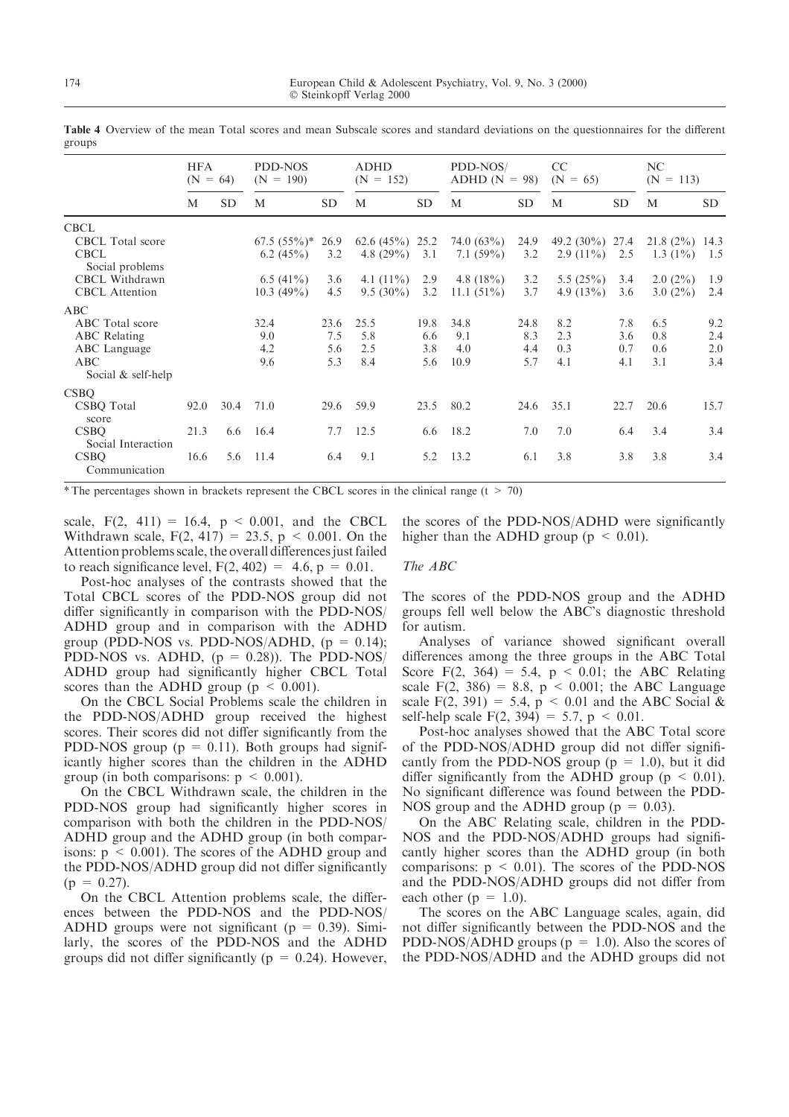|                                | <b>HFA</b><br>(N <sup>2</sup> )<br><sup>64</sup><br>$=$ |           | PDD-NOS<br>190)<br>$(N =$ |                 | <b>ADHD</b><br>$(N = 152)$ |           | PDD-NOS/<br>$ADHD (N = 98)$ |           | CC<br>$(N = 65)$ |           | NC<br>(N <sup>2</sup> )<br>$= 113$ |           |
|--------------------------------|---------------------------------------------------------|-----------|---------------------------|-----------------|----------------------------|-----------|-----------------------------|-----------|------------------|-----------|------------------------------------|-----------|
|                                | M                                                       | <b>SD</b> | M                         | SD <sub>1</sub> | M                          | <b>SD</b> | M                           | <b>SD</b> | M                | <b>SD</b> | M                                  | <b>SD</b> |
| <b>CBCL</b>                    |                                                         |           |                           |                 |                            |           |                             |           |                  |           |                                    |           |
| <b>CBCL</b> Total score        |                                                         |           | $67.5(55\%)*$             | 26.9            | 62.6 $(45\%)$ 25.2         |           | 74.0 $(63\%)$               | 24.9      | 49.2 (30%) 27.4  |           | $21.8(2\%)$                        | 14.3      |
| <b>CBCL</b><br>Social problems |                                                         |           | 6.2(45%)                  | 3.2             | 4.8 $(29\%)$               | 3.1       | 7.1 $(59\%)$                | 3.2       | $2.9(11\%)$      | 2.5       | 1.3 $(1\%)$                        | 1.5       |
| <b>CBCL Withdrawn</b>          |                                                         |           | $6.5(41\%)$               | 3.6             | 4.1 $(11\%)$               | 2.9       | 4.8 $(18%)$                 | 3.2       | 5.5 $(25%)$      | 3.4       | $2.0(2\%)$                         | 1.9       |
| <b>CBCL</b> Attention          |                                                         |           | $10.3(49\%)$              | 4.5             | $9.5(30\%)$                | 3.2       | 11.1 $(51\%)$               | 3.7       | 4.9 $(13\%)$     | 3.6       | 3.0 $(2\%)$                        | 2.4       |
| ABC                            |                                                         |           |                           |                 |                            |           |                             |           |                  |           |                                    |           |
| ABC Total score                |                                                         |           | 32.4                      | 23.6            | 25.5                       | 19.8      | 34.8                        | 24.8      | 8.2              | 7.8       | 6.5                                | 9.2       |
| <b>ABC</b> Relating            |                                                         |           | 9.0                       | 7.5             | 5.8                        | 6.6       | 9.1                         | 8.3       | 2.3              | 3.6       | 0.8                                | 2.4       |
| ABC Language                   |                                                         |           | 4.2                       | 5.6             | 2.5                        | 3.8       | 4.0                         | 4.4       | 0.3              | 0.7       | 0.6                                | 2.0       |
| ABC                            |                                                         |           | 9.6                       | 5.3             | 8.4                        | 5.6       | 10.9                        | 5.7       | 4.1              | 4.1       | 3.1                                | 3.4       |
| Social $&$ self-help           |                                                         |           |                           |                 |                            |           |                             |           |                  |           |                                    |           |
| <b>CSBQ</b>                    |                                                         |           |                           |                 |                            |           |                             |           |                  |           |                                    |           |
| CSBQ Total<br>score            | 92.0                                                    | 30.4      | 71.0                      | 29.6            | 59.9                       | 23.5      | 80.2                        | 24.6      | 35.1             | 22.7      | 20.6                               | 15.7      |
| <b>CSBO</b>                    | 21.3                                                    | 6.6       | 16.4                      | 7.7             | 12.5                       | 6.6       | 18.2                        | 7.0       | 7.0              | 6.4       | 3.4                                | 3.4       |
| Social Interaction             |                                                         |           |                           |                 |                            |           |                             |           |                  |           |                                    |           |
| <b>CSBO</b><br>Communication   | 16.6                                                    | 5.6       | 11.4                      | 6.4             | 9.1                        | 5.2       | 13.2                        | 6.1       | 3.8              | 3.8       | 3.8                                | 3.4       |

Table 4 Overview of the mean Total scores and mean Subscale scores and standard deviations on the questionnaires for the different groups

\* The percentages shown in brackets represent the CBCL scores in the clinical range  $(t > 70)$ 

scale,  $F(2, 411) = 16.4$ ,  $p < 0.001$ , and the CBCL Withdrawn scale,  $F(2, 417) = 23.5$ ,  $p < 0.001$ . On the Attention problems scale, the overall differences just failed to reach significance level,  $F(2, 402) = 4.6$ ,  $p = 0.01$ .

Post-hoc analyses of the contrasts showed that the Total CBCL scores of the PDD-NOS group did not differ significantly in comparison with the PDD-NOS/ ADHD group and in comparison with the ADHD group (PDD-NOS vs. PDD-NOS/ADHD,  $(p = 0.14)$ ; PDD-NOS vs. ADHD,  $(p = 0.28)$ ). The PDD-NOS/ ADHD group had significantly higher CBCL Total scores than the ADHD group ( $p \le 0.001$ ).

On the CBCL Social Problems scale the children in the PDD-NOS/ADHD group received the highest scores. Their scores did not differ significantly from the PDD-NOS group ( $p = 0.11$ ). Both groups had significantly higher scores than the children in the ADHD group (in both comparisons:  $p \leq 0.001$ ).

On the CBCL Withdrawn scale, the children in the PDD-NOS group had significantly higher scores in comparison with both the children in the PDD-NOS/ ADHD group and the ADHD group (in both comparisons:  $p \leq 0.001$ ). The scores of the ADHD group and the PDD-NOS/ADHD group did not differ significantly  $(p = 0.27)$ .

On the CBCL Attention problems scale, the differences between the PDD-NOS and the PDD-NOS/ ADHD groups were not significant ( $p = 0.39$ ). Similarly, the scores of the PDD-NOS and the ADHD groups did not differ significantly ( $p = 0.24$ ). However, the scores of the PDD-NOS/ADHD were significantly higher than the ADHD group ( $p < 0.01$ ).

## The ABC

The scores of the PDD-NOS group and the ADHD groups fell well below the ABC's diagnostic threshold for autism.

Analyses of variance showed significant overall differences among the three groups in the ABC Total Score F(2, 364) = 5.4,  $p < 0.01$ ; the ABC Relating scale F(2, 386) = 8.8, p < 0.001; the ABC Language scale F(2, 391) = 5.4, p < 0.01 and the ABC Social  $\&$ self-help scale  $F(2, 394) = 5.7$ ,  $p < 0.01$ .

Post-hoc analyses showed that the ABC Total score of the PDD-NOS/ADHD group did not differ significantly from the PDD-NOS group  $(p = 1.0)$ , but it did differ significantly from the ADHD group ( $p \le 0.01$ ). No significant difference was found between the PDD-NOS group and the ADHD group ( $p = 0.03$ ).

On the ABC Relating scale, children in the PDD-NOS and the PDD-NOS/ADHD groups had significantly higher scores than the ADHD group (in both comparisons:  $p \leq 0.01$ ). The scores of the PDD-NOS and the PDD-NOS/ADHD groups did not differ from each other ( $p = 1.0$ ).

The scores on the ABC Language scales, again, did not differ significantly between the PDD-NOS and the PDD-NOS/ADHD groups ( $p = 1.0$ ). Also the scores of the PDD-NOS/ADHD and the ADHD groups did not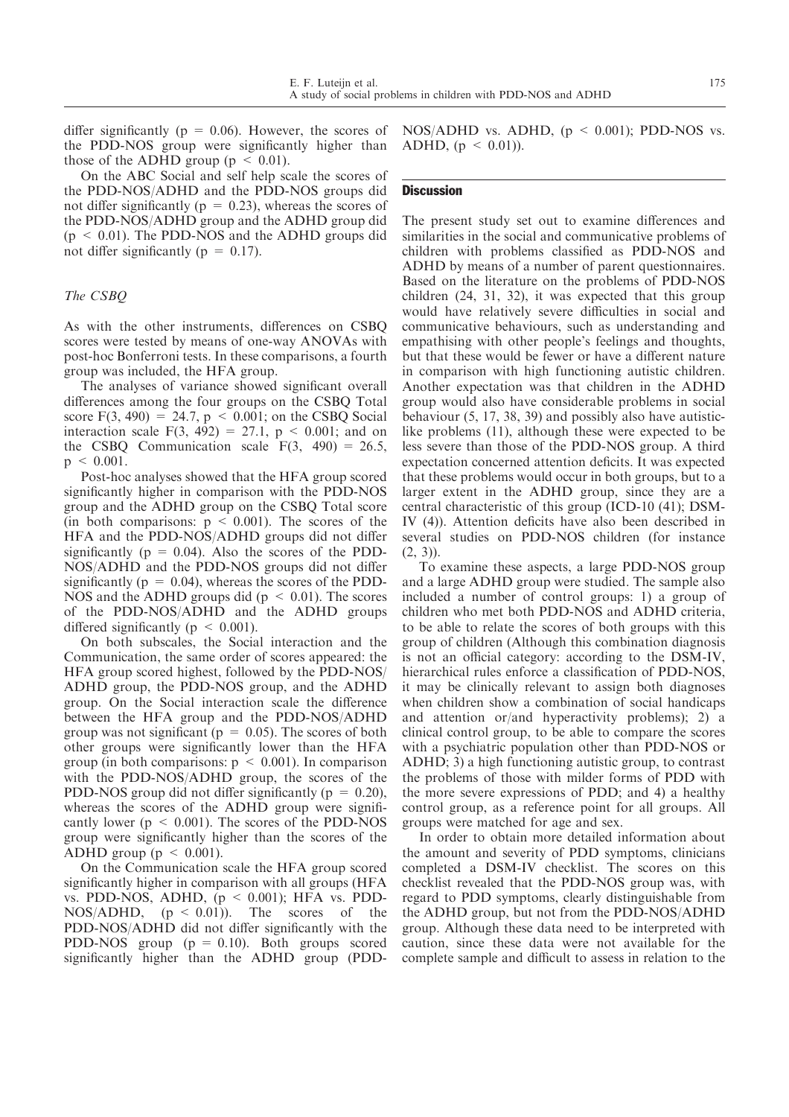differ significantly ( $p = 0.06$ ). However, the scores of the PDD-NOS group were significantly higher than those of the ADHD group ( $p < 0.01$ ).

On the ABC Social and self help scale the scores of the PDD-NOS/ADHD and the PDD-NOS groups did not differ significantly ( $p = 0.23$ ), whereas the scores of the PDD-NOS/ADHD group and the ADHD group did  $(p \le 0.01)$ . The PDD-NOS and the ADHD groups did not differ significantly ( $p = 0.17$ ).

## The CSBQ

As with the other instruments, differences on CSBQ scores were tested by means of one-way ANOVAs with post-hoc Bonferroni tests. In these comparisons, a fourth group was included, the HFA group.

The analyses of variance showed significant overall differences among the four groups on the CSBO Total score  $F(3, 490) = 24.7$ ,  $p < 0.001$ ; on the CSBO Social interaction scale  $F(3, 492) = 27.1$ ,  $p < 0.001$ ; and on the CSBO Communication scale  $F(3, 490) = 26.5$ ,  $p \leq 0.001$ .

Post-hoc analyses showed that the HFA group scored significantly higher in comparison with the PDD-NOS group and the ADHD group on the CSBQ Total score (in both comparisons:  $p \leq 0.001$ ). The scores of the HFA and the PDD-NOS/ADHD groups did not differ significantly ( $p = 0.04$ ). Also the scores of the PDD-NOS/ADHD and the PDD-NOS groups did not differ significantly ( $p = 0.04$ ), whereas the scores of the PDD-NOS and the ADHD groups did ( $p < 0.01$ ). The scores of the PDD-NOS/ADHD and the ADHD groups differed significantly ( $p \leq 0.001$ ).

On both subscales, the Social interaction and the Communication, the same order of scores appeared: the HFA group scored highest, followed by the PDD-NOS/ ADHD group, the PDD-NOS group, and the ADHD group. On the Social interaction scale the difference between the HFA group and the PDD-NOS/ADHD group was not significant ( $p = 0.05$ ). The scores of both other groups were significantly lower than the HFA group (in both comparisons:  $p \leq 0.001$ ). In comparison with the PDD-NOS/ADHD group, the scores of the PDD-NOS group did not differ significantly ( $p = 0.20$ ), whereas the scores of the ADHD group were significantly lower ( $p \le 0.001$ ). The scores of the PDD-NOS group were significantly higher than the scores of the ADHD group ( $p < 0.001$ ).

On the Communication scale the HFA group scored significantly higher in comparison with all groups (HFA vs. PDD-NOS, ADHD,  $(p < 0.001)$ ; HFA vs. PDD-NOS/ADHD,  $(p < 0.01)$ ). The scores of the PDD-NOS/ADHD did not differ significantly with the PDD-NOS group  $(p = 0.10)$ . Both groups scored significantly higher than the ADHD group (PDD-

NOS/ADHD vs. ADHD,  $(p < 0.001)$ ; PDD-NOS vs. ADHD,  $(p < 0.01)$ ).

#### **Discussion**

The present study set out to examine differences and similarities in the social and communicative problems of children with problems classified as PDD-NOS and ADHD by means of a number of parent questionnaires. Based on the literature on the problems of PDD-NOS children  $(24, 31, 32)$ , it was expected that this group would have relatively severe difficulties in social and communicative behaviours, such as understanding and empathising with other people's feelings and thoughts, but that these would be fewer or have a different nature in comparison with high functioning autistic children. Another expectation was that children in the ADHD group would also have considerable problems in social behaviour  $(5, 17, 38, 39)$  and possibly also have autisticlike problems  $(11)$ , although these were expected to be less severe than those of the PDD-NOS group. A third expectation concerned attention deficits. It was expected that these problems would occur in both groups, but to a larger extent in the ADHD group, since they are a central characteristic of this group  $(ICD-10 (41);$   $DSM-$ IV  $(4)$ ). Attention deficits have also been described in several studies on PDD-NOS children (for instance  $(2, 3)$ ).

To examine these aspects, a large PDD-NOS group and a large ADHD group were studied. The sample also included a number of control groups: 1) a group of children who met both PDD-NOS and ADHD criteria, to be able to relate the scores of both groups with this group of children (Although this combination diagnosis is not an official category: according to the DSM-IV, hierarchical rules enforce a classification of PDD-NOS, it may be clinically relevant to assign both diagnoses when children show a combination of social handicaps and attention or/and hyperactivity problems); 2) a clinical control group, to be able to compare the scores with a psychiatric population other than PDD-NOS or ADHD; 3) a high functioning autistic group, to contrast the problems of those with milder forms of PDD with the more severe expressions of PDD; and 4) a healthy control group, as a reference point for all groups. All groups were matched for age and sex.

In order to obtain more detailed information about the amount and severity of PDD symptoms, clinicians completed a DSM-IV checklist. The scores on this checklist revealed that the PDD-NOS group was, with regard to PDD symptoms, clearly distinguishable from the ADHD group, but not from the PDD-NOS/ADHD group. Although these data need to be interpreted with caution, since these data were not available for the complete sample and difficult to assess in relation to the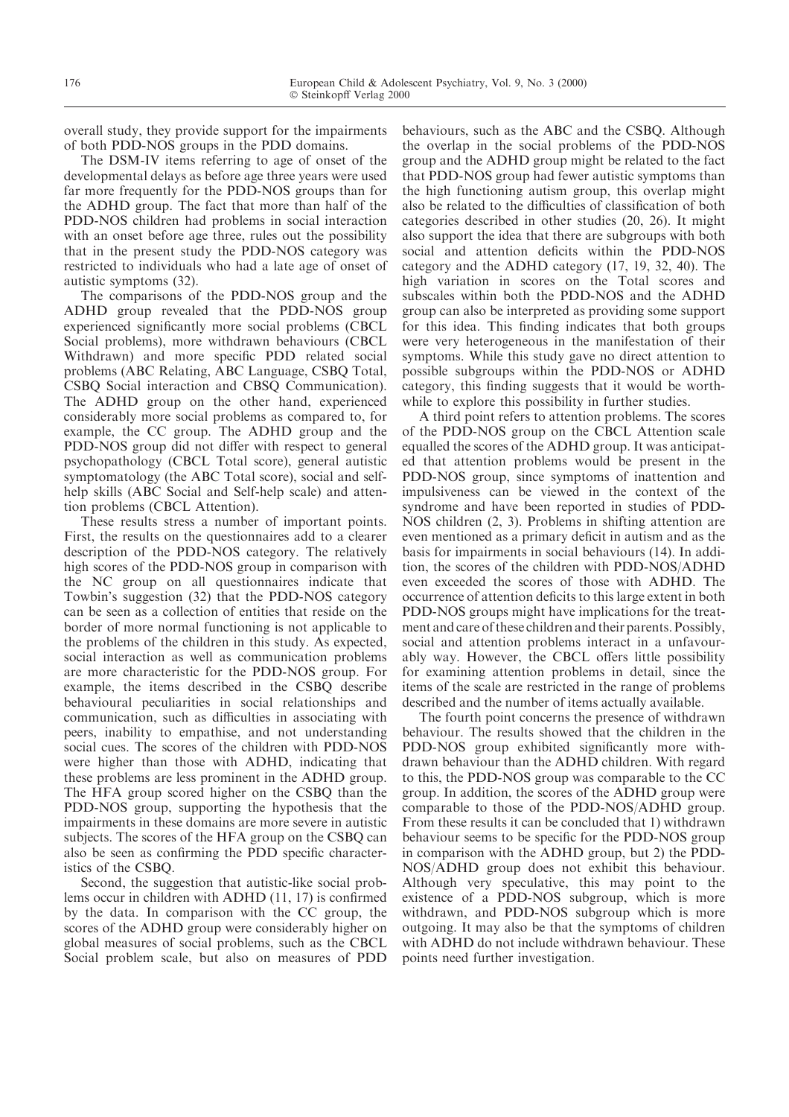overall study, they provide support for the impairments of both PDD-NOS groups in the PDD domains.

The DSM-IV items referring to age of onset of the developmental delays as before age three years were used far more frequently for the PDD-NOS groups than for the ADHD group. The fact that more than half of the PDD-NOS children had problems in social interaction with an onset before age three, rules out the possibility that in the present study the PDD-NOS category was restricted to individuals who had a late age of onset of autistic symptoms  $(32)$ .

The comparisons of the PDD-NOS group and the ADHD group revealed that the PDD-NOS group experienced significantly more social problems (CBCL Social problems), more withdrawn behaviours (CBCL Withdrawn) and more specific PDD related social problems !ABC Relating, ABC Language, CSBQ Total, CSBQ Social interaction and CBSQ Communication). The ADHD group on the other hand, experienced considerably more social problems as compared to, for example, the CC group. The ADHD group and the PDD-NOS group did not differ with respect to general psychopathology (CBCL Total score), general autistic symptomatology (the ABC Total score), social and selfhelp skills (ABC Social and Self-help scale) and attention problems (CBCL Attention).

These results stress a number of important points. First, the results on the questionnaires add to a clearer description of the PDD-NOS category. The relatively high scores of the PDD-NOS group in comparison with the NC group on all questionnaires indicate that Towbin's suggestion (32) that the PDD-NOS category can be seen as a collection of entities that reside on the border of more normal functioning is not applicable to the problems of the children in this study. As expected, social interaction as well as communication problems are more characteristic for the PDD-NOS group. For example, the items described in the CSBQ describe behavioural peculiarities in social relationships and communication, such as difficulties in associating with peers, inability to empathise, and not understanding social cues. The scores of the children with PDD-NOS were higher than those with ADHD, indicating that these problems are less prominent in the ADHD group. The HFA group scored higher on the CSBQ than the PDD-NOS group, supporting the hypothesis that the impairments in these domains are more severe in autistic subjects. The scores of the HFA group on the CSBQ can also be seen as confirming the PDD specific characteristics of the CSBQ.

Second, the suggestion that autistic-like social problems occur in children with  $ADHD(11, 17)$  is confirmed by the data. In comparison with the CC group, the scores of the ADHD group were considerably higher on global measures of social problems, such as the CBCL Social problem scale, but also on measures of PDD

behaviours, such as the ABC and the CSBQ. Although the overlap in the social problems of the PDD-NOS group and the ADHD group might be related to the fact that PDD-NOS group had fewer autistic symptoms than the high functioning autism group, this overlap might also be related to the difficulties of classification of both categories described in other studies  $(20, 26)$ . It might also support the idea that there are subgroups with both social and attention deficits within the PDD-NOS category and the ADHD category  $(17, 19, 32, 40)$ . The high variation in scores on the Total scores and subscales within both the PDD-NOS and the ADHD group can also be interpreted as providing some support for this idea. This finding indicates that both groups were very heterogeneous in the manifestation of their symptoms. While this study gave no direct attention to possible subgroups within the PDD-NOS or ADHD category, this finding suggests that it would be worthwhile to explore this possibility in further studies.

A third point refers to attention problems. The scores of the PDD-NOS group on the CBCL Attention scale equalled the scores of the ADHD group. It was anticipated that attention problems would be present in the PDD-NOS group, since symptoms of inattention and impulsiveness can be viewed in the context of the syndrome and have been reported in studies of PDD- $NOS$  children  $(2, 3)$ . Problems in shifting attention are even mentioned as a primary deficit in autism and as the basis for impairments in social behaviours (14). In addition, the scores of the children with PDD-NOS/ADHD even exceeded the scores of those with ADHD. The occurrence of attention deficits to this large extent in both PDD-NOS groups might have implications for the treatment and care of these children and their parents. Possibly, social and attention problems interact in a unfavourably way. However, the CBCL offers little possibility for examining attention problems in detail, since the items of the scale are restricted in the range of problems described and the number of items actually available.

The fourth point concerns the presence of withdrawn behaviour. The results showed that the children in the PDD-NOS group exhibited significantly more withdrawn behaviour than the ADHD children. With regard to this, the PDD-NOS group was comparable to the CC group. In addition, the scores of the ADHD group were comparable to those of the PDD-NOS/ADHD group. From these results it can be concluded that 1) withdrawn behaviour seems to be specific for the PDD-NOS group in comparison with the ADHD group, but 2) the PDD-NOS/ADHD group does not exhibit this behaviour. Although very speculative, this may point to the existence of a PDD-NOS subgroup, which is more withdrawn, and PDD-NOS subgroup which is more outgoing. It may also be that the symptoms of children with ADHD do not include withdrawn behaviour. These points need further investigation.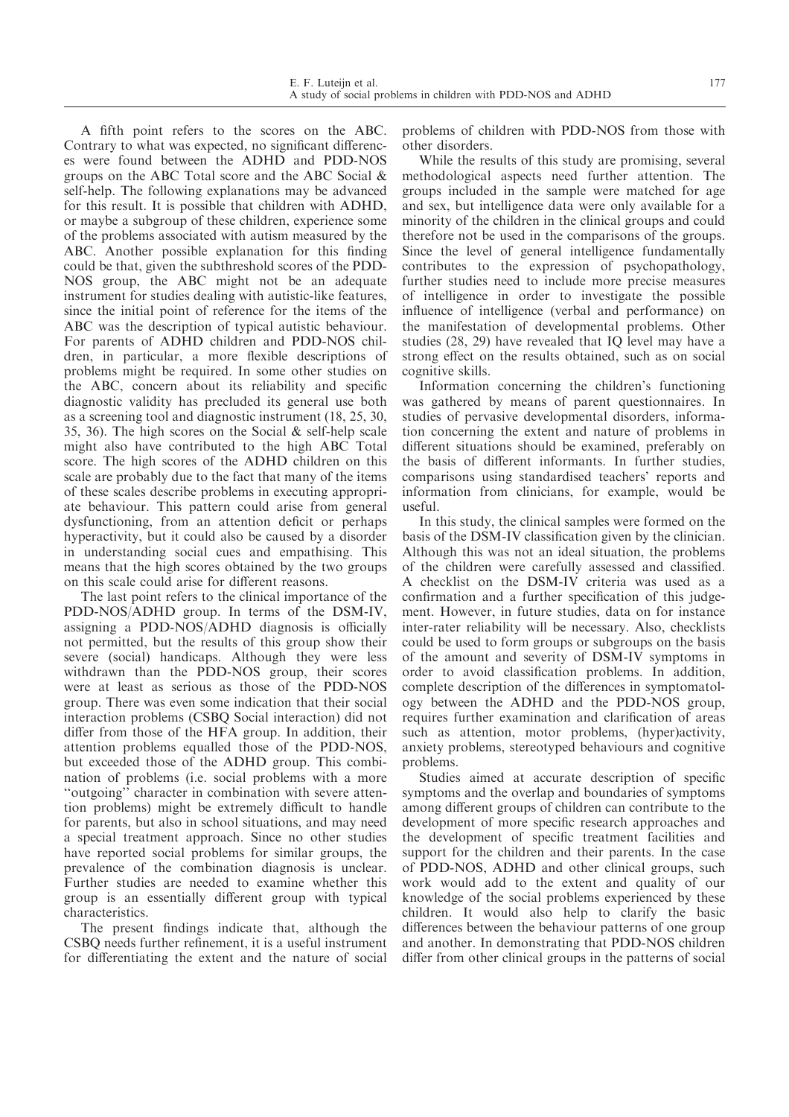A fifth point refers to the scores on the ABC. Contrary to what was expected, no significant differences were found between the ADHD and PDD-NOS groups on the ABC Total score and the ABC Social & self-help. The following explanations may be advanced for this result. It is possible that children with ADHD, or maybe a subgroup of these children, experience some of the problems associated with autism measured by the ABC. Another possible explanation for this finding could be that, given the subthreshold scores of the PDD-NOS group, the ABC might not be an adequate instrument for studies dealing with autistic-like features, since the initial point of reference for the items of the ABC was the description of typical autistic behaviour. For parents of ADHD children and PDD-NOS children, in particular, a more flexible descriptions of problems might be required. In some other studies on the ABC, concern about its reliability and specific diagnostic validity has precluded its general use both as a screening tool and diagnostic instrument  $(18, 25, 30, 10)$ 35, 36). The high scores on the Social & self-help scale might also have contributed to the high ABC Total score. The high scores of the ADHD children on this scale are probably due to the fact that many of the items of these scales describe problems in executing appropriate behaviour. This pattern could arise from general dysfunctioning, from an attention deficit or perhaps hyperactivity, but it could also be caused by a disorder in understanding social cues and empathising. This means that the high scores obtained by the two groups on this scale could arise for different reasons.

The last point refers to the clinical importance of the PDD-NOS/ADHD group. In terms of the DSM-IV, assigning a  $PDD-NOS/ADHD$  diagnosis is officially not permitted, but the results of this group show their severe (social) handicaps. Although they were less withdrawn than the PDD-NOS group, their scores were at least as serious as those of the PDD-NOS group. There was even some indication that their social interaction problems (CSBQ Social interaction) did not differ from those of the HFA group. In addition, their attention problems equalled those of the PDD-NOS, but exceeded those of the ADHD group. This combination of problems (*i.e.* social problems with a more ``outgoing'' character in combination with severe attention problems) might be extremely difficult to handle for parents, but also in school situations, and may need a special treatment approach. Since no other studies have reported social problems for similar groups, the prevalence of the combination diagnosis is unclear. Further studies are needed to examine whether this group is an essentially different group with typical characteristics.

The present findings indicate that, although the CSBQ needs further refinement, it is a useful instrument for differentiating the extent and the nature of social problems of children with PDD-NOS from those with other disorders.

While the results of this study are promising, several methodological aspects need further attention. The groups included in the sample were matched for age and sex, but intelligence data were only available for a minority of the children in the clinical groups and could therefore not be used in the comparisons of the groups. Since the level of general intelligence fundamentally contributes to the expression of psychopathology, further studies need to include more precise measures of intelligence in order to investigate the possible influence of intelligence (verbal and performance) on the manifestation of developmental problems. Other studies  $(28, 29)$  have revealed that IQ level may have a strong effect on the results obtained, such as on social cognitive skills.

Information concerning the children's functioning was gathered by means of parent questionnaires. In studies of pervasive developmental disorders, information concerning the extent and nature of problems in different situations should be examined, preferably on the basis of different informants. In further studies, comparisons using standardised teachers' reports and information from clinicians, for example, would be useful.

In this study, the clinical samples were formed on the basis of the DSM-IV classification given by the clinician. Although this was not an ideal situation, the problems of the children were carefully assessed and classified. A checklist on the DSM-IV criteria was used as a confirmation and a further specification of this judgement. However, in future studies, data on for instance inter-rater reliability will be necessary. Also, checklists could be used to form groups or subgroups on the basis of the amount and severity of DSM-IV symptoms in order to avoid classification problems. In addition, complete description of the differences in symptomatology between the ADHD and the PDD-NOS group, requires further examination and clarification of areas such as attention, motor problems, (hyper)activity, anxiety problems, stereotyped behaviours and cognitive problems.

Studies aimed at accurate description of specific symptoms and the overlap and boundaries of symptoms among different groups of children can contribute to the development of more specific research approaches and the development of specific treatment facilities and support for the children and their parents. In the case of PDD-NOS, ADHD and other clinical groups, such work would add to the extent and quality of our knowledge of the social problems experienced by these children. It would also help to clarify the basic differences between the behaviour patterns of one group and another. In demonstrating that PDD-NOS children differ from other clinical groups in the patterns of social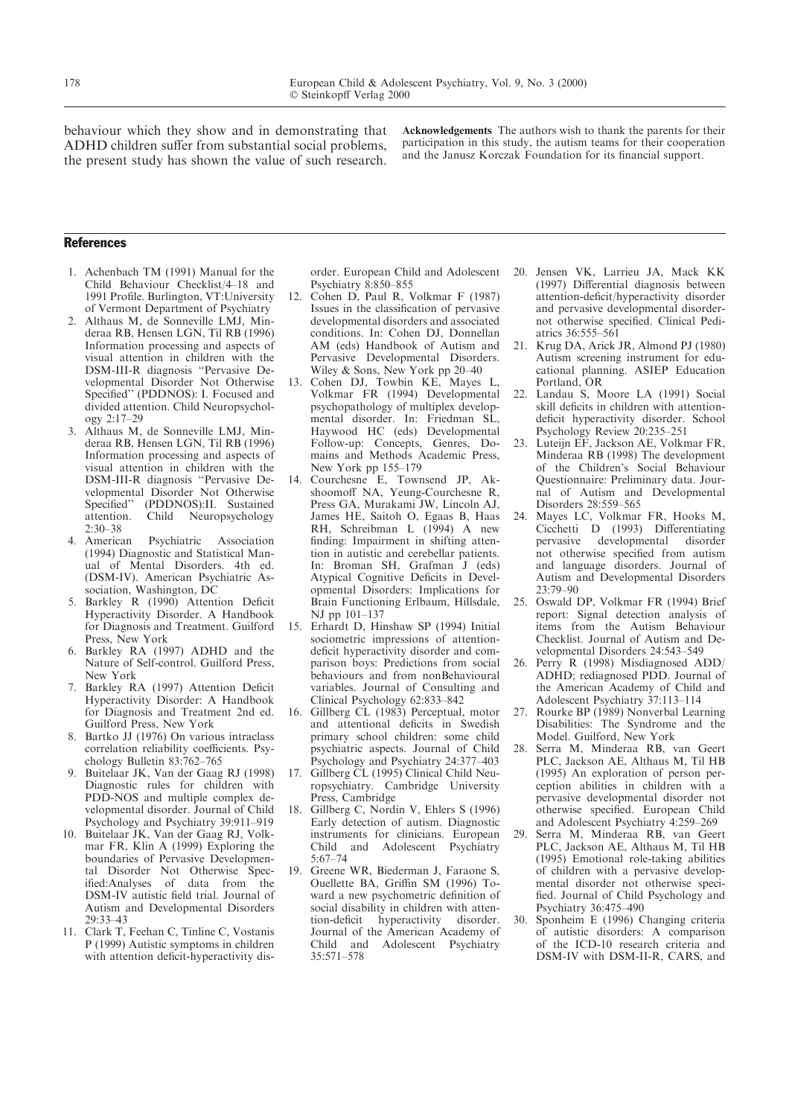behaviour which they show and in demonstrating that ADHD children suffer from substantial social problems, the present study has shown the value of such research.

Acknowledgements The authors wish to thank the parents for their participation in this study, the autism teams for their cooperation and the Janusz Korczak Foundation for its financial support.

#### **References**

- 1. Achenbach TM (1991) Manual for the Child Behaviour Checklist/4-18 and 1991 Profile. Burlington, VT:University of Vermont Department of Psychiatry
- 2. Althaus M, de Sonneville LMJ, Minderaa RB, Hensen LGN, Til RB (1996) Information processing and aspects of visual attention in children with the DSM-III-R diagnosis "Pervasive Developmental Disorder Not Otherwise Specified" (PDDNOS): I. Focused and divided attention. Child Neuropsychology 2:17±29
- 3. Althaus M, de Sonneville LMJ, Minderaa RB, Hensen LGN, Til RB (1996) Information processing and aspects of visual attention in children with the DSM-III-R diagnosis "Pervasive Developmental Disorder Not Otherwise<br>Specified" (PDDNOS):II. Sustained Specified" (PDDNOS):II. Sustained<br>attention. Child Neuropsychology Child Neuropsychology
- $2:30-38$ <br>4 American Psychiatric Association !1994) Diagnostic and Statistical Manual of Mental Disorders. 4th ed. !DSM-IV). American Psychiatric Association, Washington, DC
- 5. Barkley R (1990) Attention Deficit Hyperactivity Disorder. A Handbook for Diagnosis and Treatment. Guilford Press, New York
- 6. Barkley RA (1997) ADHD and the Nature of Self-control. Guilford Press, New York
- 7. Barkley RA (1997) Attention Deficit Hyperactivity Disorder: A Handbook for Diagnosis and Treatment 2nd ed. Guilford Press, New York
- 8. Bartko JJ (1976) On various intraclass correlation reliability coefficients. Psychology Bulletin 83:762-765
- 9. Buitelaar JK, Van der Gaag RJ (1998) Diagnostic rules for children with PDD-NOS and multiple complex developmental disorder. Journal of Child Psychology and Psychiatry 39:911-919
- 10. Buitelaar JK, Van der Gaag RJ, Volkmar FR, Klin A (1999) Exploring the boundaries of Pervasive Developmental Disorder Not Otherwise Specified:Analyses of data from the DSM-IV autistic field trial. Journal of Autism and Developmental Disorders 29:33±43
- 11. Clark T, Feehan C, Tinline C, Vostanis P (1999) Autistic symptoms in children with attention deficit-hyperactivity dis-

order. European Child and Adolescent Psychiatry 8:850-855

- 12. Cohen D, Paul R, Volkmar F (1987) Issues in the classification of pervasive developmental disorders and associated conditions. In: Cohen DJ, Donnellan AM (eds) Handbook of Autism and Pervasive Developmental Disorders. Wiley & Sons, New York pp 20-40
- 13. Cohen DJ, Towbin KE, Mayes L, Volkmar FR (1994) Developmental psychopathology of multiplex developmental disorder. In: Friedman SL, Haywood HC (eds) Developmental Follow-up: Concepts, Genres, Domains and Methods Academic Press, New York pp 155-179
- 14. Courchesne E, Townsend JP, Akshoomoff NA, Yeung-Courchesne R, Press GA, Murakami JW, Lincoln AJ, James HE, Saitoh O, Egaas B, Haas RH, Schreibman L (1994) A new finding: Impairment in shifting attention in autistic and cerebellar patients. In: Broman SH, Grafman J (eds) Atypical Cognitive Deficits in Developmental Disorders: Implications for Brain Functioning Erlbaum, Hillsdale, NJ pp 101-137
- 15. Erhardt D, Hinshaw SP (1994) Initial sociometric impressions of attentiondeficit hyperactivity disorder and comparison boys: Predictions from social behaviours and from nonBehavioural variables. Journal of Consulting and Clinical Psychology 62:833-842
- 16. Gillberg CL (1983) Perceptual, motor and attentional deficits in Swedish primary school children: some child psychiatric aspects. Journal of Child Psychology and Psychiatry 24:377-403
- 17. Gillberg CL (1995) Clinical Child Neuropsychiatry. Cambridge University Press, Cambridge
- 18. Gillberg C, Nordin V, Ehlers S (1996) Early detection of autism. Diagnostic instruments for clinicians. European Child and Adolescent Psychiatry  $5:67 - 74$
- 19. Greene WR, Biederman J, Faraone S, Ouellette BA, Griffin SM (1996) Toward a new psychometric definition of social disability in children with attention-deficit hyperactivity disorder. Journal of the American Academy of Child and Adolescent Psychiatry  $35:571-578$
- 20. Jensen VK, Larrieu JA, Mack KK (1997) Differential diagnosis between attention-deficit/hyperactivity disorder and pervasive developmental disordernot otherwise specified. Clinical Pediatrics 36:555-561
- 21. Krug DA, Arick JR, Almond PJ (1980) Autism screening instrument for educational planning. ASIEP Education Portland, OR
- 22. Landau S, Moore LA (1991) Social skill deficits in children with attentiondeficit hyperactivity disorder. School Psychology Review 20:235-251
- 23. Luteijn EF, Jackson AE, Volkmar FR, Minderaa RB (1998) The development of the Children's Social Behaviour Questionnaire: Preliminary data. Journal of Autism and Developmental Disorders 28:559-565
- 24. Mayes LC, Volkmar FR, Hooks M, Cicchetti D (1993) Differentiating<br>pervasive developmental disorder developmental disorder not otherwise specified from autism and language disorders. Journal of Autism and Developmental Disorders  $23.79 - 90$
- 25. Oswald DP, Volkmar FR (1994) Brief report: Signal detection analysis of items from the Autism Behaviour Checklist. Journal of Autism and Developmental Disorders 24:543-549
- 26. Perry R (1998) Misdiagnosed ADD/ ADHD; rediagnosed PDD. Journal of the American Academy of Child and Adolescent Psychiatry 37:113-114
- 27. Rourke BP (1989) Nonverbal Learning Disabilities: The Syndrome and the Model. Guilford, New York
- 28. Serra M, Minderaa RB, van Geert PLC, Jackson AE, Althaus M, Til HB !1995) An exploration of person perception abilities in children with a pervasive developmental disorder not otherwise specified. European Child and Adolescent Psychiatry 4:259-269
- 29. Serra M, Minderaa RB, van Geert PLC, Jackson AE, Althaus M, Til HB !1995) Emotional role-taking abilities of children with a pervasive developmental disorder not otherwise speci fied. Journal of Child Psychology and Psychiatry 36:475-490
- 30. Sponheim E (1996) Changing criteria of autistic disorders: A comparison of the ICD-10 research criteria and DSM-IV with DSM-II-R, CARS, and